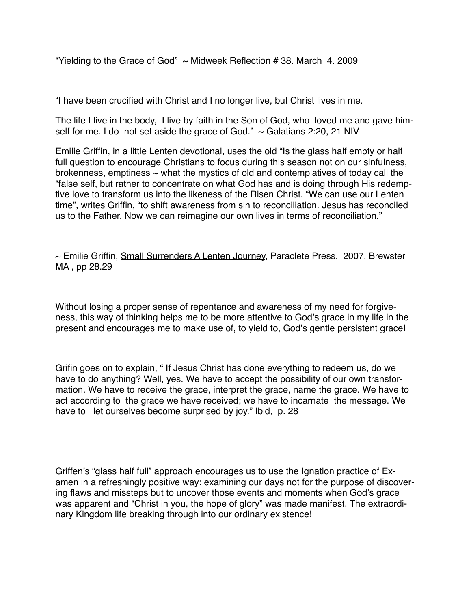"Yielding to the Grace of God"  $\sim$  Midweek Reflection #38. March 4. 2009

"I have been crucified with Christ and I no longer live, but Christ lives in me.

The life I live in the body, I live by faith in the Son of God, who loved me and gave himself for me. I do not set aside the grace of God."  $\sim$  Galatians 2:20, 21 NIV

Emilie Griffin, in a little Lenten devotional, uses the old "Is the glass half empty or half full question to encourage Christians to focus during this season not on our sinfulness, brokenness, emptiness  $\sim$  what the mystics of old and contemplatives of today call the "false self, but rather to concentrate on what God has and is doing through His redemptive love to transform us into the likeness of the Risen Christ. "We can use our Lenten time", writes Griffin, "to shift awareness from sin to reconciliation. Jesus has reconciled us to the Father. Now we can reimagine our own lives in terms of reconciliation."

 $\sim$  Emilie Griffin, Small Surrenders A Lenten Journey, Paraclete Press. 2007. Brewster MA , pp 28.29

Without losing a proper sense of repentance and awareness of my need for forgiveness, this way of thinking helps me to be more attentive to God's grace in my life in the present and encourages me to make use of, to yield to, God's gentle persistent grace!

Grifin goes on to explain, " If Jesus Christ has done everything to redeem us, do we have to do anything? Well, yes. We have to accept the possibility of our own transformation. We have to receive the grace, interpret the grace, name the grace. We have to act according to the grace we have received; we have to incarnate the message. We have to let ourselves become surprised by joy." Ibid, p. 28

Griffen's "glass half full" approach encourages us to use the Ignation practice of Examen in a refreshingly positive way: examining our days not for the purpose of discovering flaws and missteps but to uncover those events and moments when God's grace was apparent and "Christ in you, the hope of glory" was made manifest. The extraordinary Kingdom life breaking through into our ordinary existence!